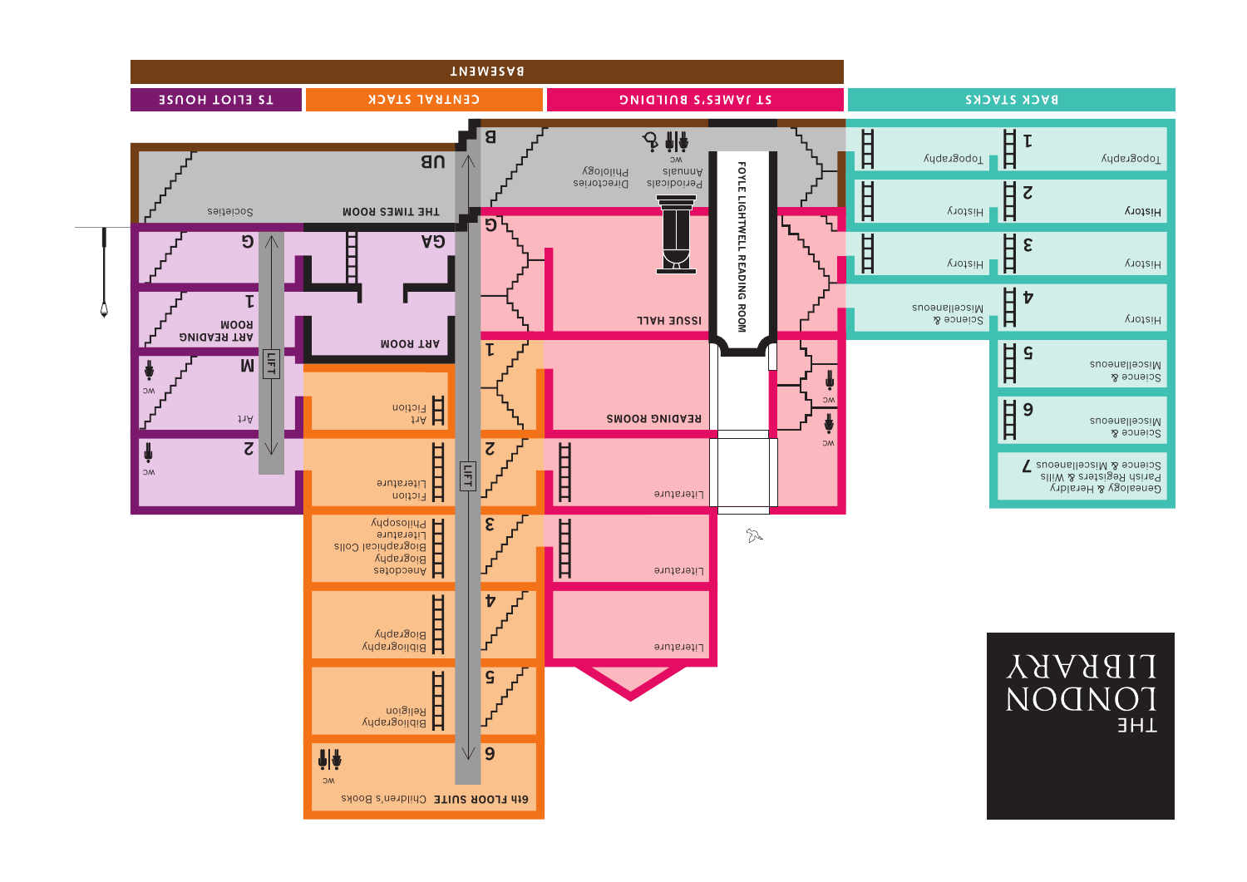